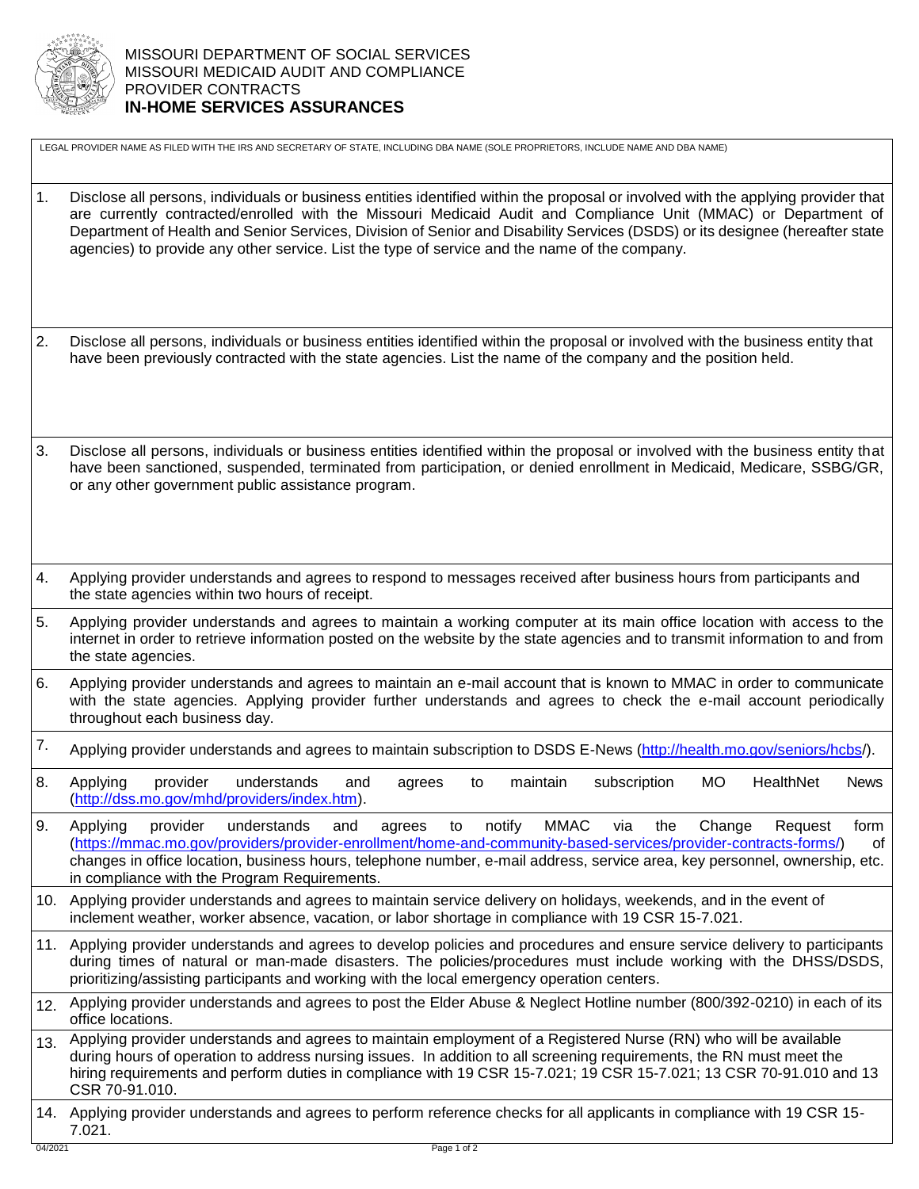

LEGAL PROVIDER NAME AS FILED WITH THE IRS AND SECRETARY OF STATE, INCLUDING DBA NAME (SOLE PROPRIETORS, INCLUDE NAME AND DBA NAME)

- 1. Disclose all persons, individuals or business entities identified within the proposal or involved with the applying provider that are currently contracted/enrolled with the Missouri Medicaid Audit and Compliance Unit (MMAC) or Department of Department of Health and Senior Services, Division of Senior and Disability Services (DSDS) or its designee (hereafter state agencies) to provide any other service. List the type of service and the name of the company.
- 2. Disclose all persons, individuals or business entities identified within the proposal or involved with the business entity that have been previously contracted with the state agencies. List the name of the company and the position held.
- 3. Disclose all persons, individuals or business entities identified within the proposal or involved with the business entity that have been sanctioned, suspended, terminated from participation, or denied enrollment in Medicaid, Medicare, SSBG/GR, or any other government public assistance program.
- 4. Applying provider understands and agrees to respond to messages received after business hours from participants and the state agencies within two hours of receipt.
- 5. Applying provider understands and agrees to maintain a working computer at its main office location with access to the internet in order to retrieve information posted on the website by the state agencies and to transmit information to and from the state agencies.
- 6. Applying provider understands and agrees to maintain an e-mail account that is known to MMAC in order to communicate with the state agencies. Applying provider further understands and agrees to check the e-mail account periodically throughout each business day.
- 7. Applying provider understands and agrees to maintain subscription to DSDS E-News [\(http://health.mo.gov/seniors/hcbs/](http://health.mo.gov/seniors/hcbs/)).
- 8. Applying provider understands and agrees to maintain subscription MO HealthNet News [\(http://dss.mo.gov/mhd/providers/index.htm\)](http://dss.mo.gov/mhd/providers/index.htm).
- 9. Applying provider understands and agrees to notify MMAC via the Change Request form [\(https://mmac.mo.gov/providers/provider-enrollment/home-and-community-based-services/provider-contracts-forms/\)](https://mmac.mo.gov/providers/provider-enrollment/home-and-community-based-services/provider-contracts-forms/) of changes in office location, business hours, telephone number, e-mail address, service area, key personnel, ownership, etc. in compliance with the Program Requirements.
- 10. Applying provider understands and agrees to maintain service delivery on holidays, weekends, and in the event of inclement weather, worker absence, vacation, or labor shortage in compliance with 19 CSR 15-7.021.
- 11. Applying provider understands and agrees to develop policies and procedures and ensure service delivery to participants during times of natural or man-made disasters. The policies/procedures must include working with the DHSS/DSDS, prioritizing/assisting participants and working with the local emergency operation centers.
- 12. Applying provider understands and agrees to post the Elder Abuse & Neglect Hotline number (800/392-0210) in each of its office locations.
- 13. Applying provider understands and agrees to maintain employment of a Registered Nurse (RN) who will be available during hours of operation to address nursing issues. In addition to all screening requirements, the RN must meet the hiring requirements and perform duties in compliance with 19 CSR 15-7.021; 19 CSR 15-7.021; 13 CSR 70-91.010 and 13 CSR 70-91.010.
- 14. Applying provider understands and agrees to perform reference checks for all applicants in compliance with 19 CSR 15- 7.021.